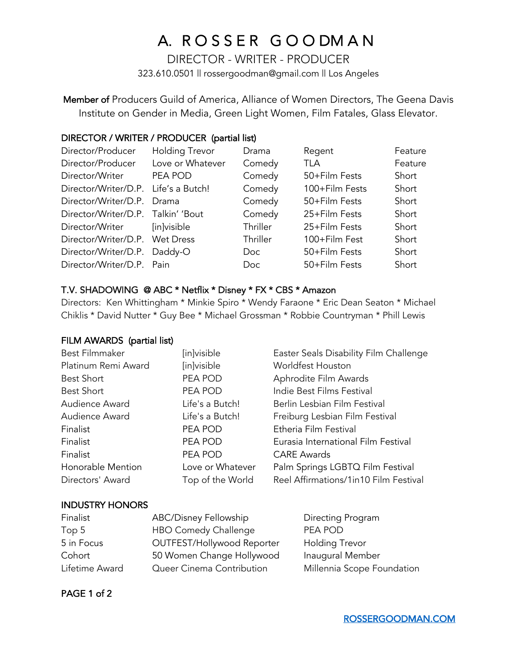# A. R O S S E R G O O DM A N

DIRECTOR - WRITER - PRODUCER 323.610.0501 || rossergoodman@gmail.com || Los Angeles

Member of Producers Guild of America, Alliance of Women Directors, The Geena Davis Institute on Gender in Media, Green Light Women, Film Fatales, Glass Elevator.

# DIRECTOR / WRITER / PRODUCER (partial list)

| Director/Producer                  | <b>Holding Trevor</b> | Drama    | Regent         | Feature |
|------------------------------------|-----------------------|----------|----------------|---------|
| Director/Producer                  | Love or Whatever      | Comedy   | TLA            | Feature |
| Director/Writer                    | PEA POD               | Comedy   | 50+Film Fests  | Short   |
| Director/Writer/D.P.               | Life's a Butch!       | Comedy   | 100+Film Fests | Short   |
| Director/Writer/D.P.               | Drama                 | Comedy   | 50+Film Fests  | Short   |
| Director/Writer/D.P. Talkin' 'Bout |                       | Comedy   | 25+Film Fests  | Short   |
| Director/Writer                    | [in]visible           | Thriller | 25+Film Fests  | Short   |
| Director/Writer/D.P. Wet Dress     |                       | Thriller | 100+Film Fest  | Short   |
| Director/Writer/D.P.               | Daddy-O               | Doc.     | 50+Film Fests  | Short   |
| Director/Writer/D.P. Pain          |                       | Doc.     | 50+Film Fests  | Short   |

# T.V. SHADOWING @ ABC \* Netflix \* Disney \* FX \* CBS \* Amazon

Directors: Ken Whittingham \* Minkie Spiro \* Wendy Faraone \* Eric Dean Seaton \* Michael Chiklis \* David Nutter \* Guy Bee \* Michael Grossman \* Robbie Countryman \* Phill Lewis

### FILM AWARDS (partial list)

| [in]visible      | Easter Seals Disability Film Challenge |
|------------------|----------------------------------------|
| [in]visible      | Worldfest Houston                      |
| PEA POD          | Aphrodite Film Awards                  |
| PEA POD          | Indie Best Films Festival              |
| Life's a Butch!  | Berlin Lesbian Film Festival           |
| Life's a Butch!  | Freiburg Lesbian Film Festival         |
| PEA POD          | Etheria Film Festival                  |
| PEA POD          | Eurasia International Film Festival    |
| PEA POD          | <b>CARE Awards</b>                     |
| Love or Whatever | Palm Springs LGBTQ Film Festival       |
| Top of the World | Reel Affirmations/1in10 Film Festival  |
|                  |                                        |

# INDUSTRY HONORS

| Finalist       | ABC/Disney Fellowship      | Directing Program          |
|----------------|----------------------------|----------------------------|
| Top 5          | HBO Comedy Challenge       | PEA POD                    |
| 5 in Focus     | OUTFEST/Hollywood Reporter | <b>Holding Trevor</b>      |
| Cohort         | 50 Women Change Hollywood  | Inaugural Member           |
| Lifetime Award | Queer Cinema Contribution  | Millennia Scope Foundation |

PAGE 1 of 2